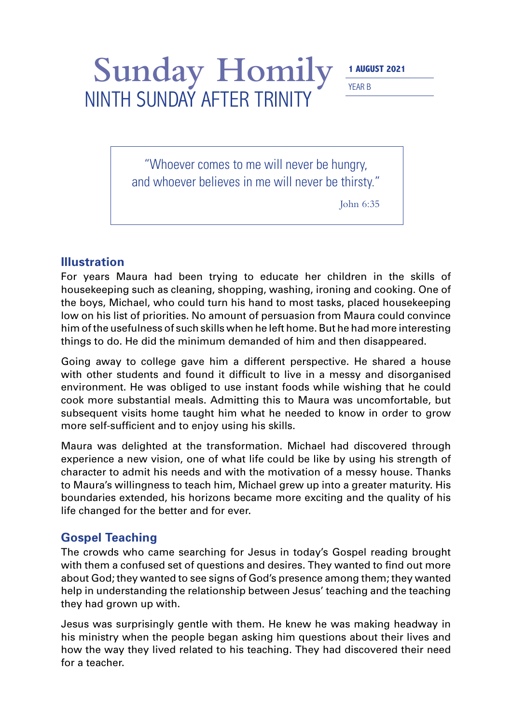## Sunday Homily **1 AUGUST 2021** NINTH SUNDAY AFTER TRINITY

YEAR B

"Whoever comes to me will never be hungry, and whoever believes in me will never be thirsty."

John 6:35

## **Illustration**

For years Maura had been trying to educate her children in the skills of housekeeping such as cleaning, shopping, washing, ironing and cooking. One of the boys, Michael, who could turn his hand to most tasks, placed housekeeping low on his list of priorities. No amount of persuasion from Maura could convince him of the usefulness of such skills when he left home. But he had more interesting things to do. He did the minimum demanded of him and then disappeared.

Going away to college gave him a different perspective. He shared a house with other students and found it difficult to live in a messy and disorganised environment. He was obliged to use instant foods while wishing that he could cook more substantial meals. Admitting this to Maura was uncomfortable, but subsequent visits home taught him what he needed to know in order to grow more self-sufficient and to enjoy using his skills.

Maura was delighted at the transformation. Michael had discovered through experience a new vision, one of what life could be like by using his strength of character to admit his needs and with the motivation of a messy house. Thanks to Maura's willingness to teach him, Michael grew up into a greater maturity. His boundaries extended, his horizons became more exciting and the quality of his life changed for the better and for ever.

## **Gospel Teaching**

The crowds who came searching for Jesus in today's Gospel reading brought with them a confused set of questions and desires. They wanted to find out more about God; they wanted to see signs of God's presence among them; they wanted help in understanding the relationship between Jesus' teaching and the teaching they had grown up with.

Jesus was surprisingly gentle with them. He knew he was making headway in his ministry when the people began asking him questions about their lives and how the way they lived related to his teaching. They had discovered their need for a teacher.